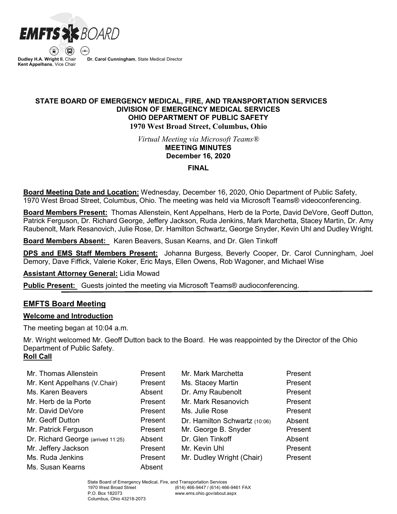

**Dudley H.A. Wright II**, Chair **Kent Appelhans**, Vice Chair **Dr. Carol Cunningham**, State Medical Director

# **STATE BOARD OF EMERGENCY MEDICAL, FIRE, AND TRANSPORTATION SERVICES DIVISION OF EMERGENCY MEDICAL SERVICES OHIO DEPARTMENT OF PUBLIC SAFETY 1970 West Broad Street, Columbus, Ohio**

*Virtual Meeting via Microsoft Teams®* **MEETING MINUTES**

# **December 16, 2020**

**FINAL**

**Board Meeting Date and Location:** Wednesday, December 16, 2020, Ohio Department of Public Safety, 1970 West Broad Street, Columbus, Ohio. The meeting was held via Microsoft Teams® videoconferencing.

**Board Members Present:** Thomas Allenstein, Kent Appelhans, Herb de la Porte, David DeVore, Geoff Dutton, Patrick Ferguson, Dr. Richard George, Jeffery Jackson, Ruda Jenkins, Mark Marchetta, Stacey Martin, Dr. Amy Raubenolt, Mark Resanovich, Julie Rose, Dr. Hamilton Schwartz, George Snyder, Kevin Uhl and Dudley Wright.

**Board Members Absent:** Karen Beavers, Susan Kearns, and Dr. Glen Tinkoff

**DPS and EMS Staff Members Present:** Johanna Burgess, Beverly Cooper, Dr. Carol Cunningham, Joel Demory, Dave Fiffick, Valerie Koker, Eric Mays, Ellen Owens, Rob Wagoner, and Michael Wise

**Assistant Attorney General:** Lidia Mowad

**Public Present:** Guests jointed the meeting via Microsoft Teams® audioconferencing.

# **EMFTS Board Meeting**

## **Welcome and Introduction**

The meeting began at 10:04 a.m.

Mr. Wright welcomed Mr. Geoff Dutton back to the Board. He was reappointed by the Director of the Ohio Department of Public Safety. **Roll Call**

| Mr. Thomas Allenstein              | Present | Mr. Mark Marchetta            | Present |
|------------------------------------|---------|-------------------------------|---------|
| Mr. Kent Appelhans (V.Chair)       | Present | Ms. Stacey Martin             | Present |
| Ms. Karen Beavers                  | Absent  | Dr. Amy Raubenolt             | Present |
| Mr. Herb de la Porte               | Present | Mr. Mark Resanovich           | Present |
| Mr. David DeVore                   | Present | Ms. Julie Rose                | Present |
| Mr. Geoff Dutton                   | Present | Dr. Hamilton Schwartz (10:06) | Absent  |
| Mr. Patrick Ferguson               | Present | Mr. George B. Snyder          | Present |
| Dr. Richard George (arrived 11:25) | Absent  | Dr. Glen Tinkoff              | Absent  |
| Mr. Jeffery Jackson                | Present | Mr. Kevin Uhl                 | Present |
| Ms. Ruda Jenkins                   | Present | Mr. Dudley Wright (Chair)     | Present |
| Ms. Susan Kearns                   | Absent  |                               |         |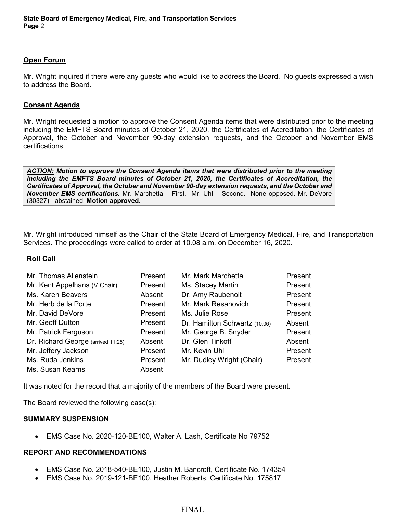# **Open Forum**

Mr. Wright inquired if there were any guests who would like to address the Board. No guests expressed a wish to address the Board.

# **Consent Agenda**

Mr. Wright requested a motion to approve the Consent Agenda items that were distributed prior to the meeting including the EMFTS Board minutes of October 21, 2020, the Certificates of Accreditation, the Certificates of Approval, the October and November 90-day extension requests, and the October and November EMS certifications.

*ACTION: Motion to approve the Consent Agenda items that were distributed prior to the meeting including the EMFTS Board minutes of October 21, 2020, the Certificates of Accreditation, the Certificates of Approval, the October and November 90-day extension requests, and the October and November EMS certifications.* Mr. Marchetta – First. Mr. Uhl – Second. None opposed. Mr. DeVore (30327) - abstained. **Motion approved.**

Mr. Wright introduced himself as the Chair of the State Board of Emergency Medical, Fire, and Transportation Services. The proceedings were called to order at 10.08 a.m. on December 16, 2020.

## **Roll Call**

| Mr. Thomas Allenstein              | Present | Mr. Mark Marchetta            | Present |
|------------------------------------|---------|-------------------------------|---------|
| Mr. Kent Appelhans (V.Chair)       | Present | Ms. Stacey Martin             | Present |
| Ms. Karen Beavers                  | Absent  | Dr. Amy Raubenolt             | Present |
| Mr. Herb de la Porte               | Present | Mr. Mark Resanovich           | Present |
| Mr. David DeVore                   | Present | Ms. Julie Rose                | Present |
| Mr. Geoff Dutton                   | Present | Dr. Hamilton Schwartz (10:06) | Absent  |
| Mr. Patrick Ferguson               | Present | Mr. George B. Snyder          | Present |
| Dr. Richard George (arrived 11:25) | Absent  | Dr. Glen Tinkoff              | Absent  |
| Mr. Jeffery Jackson                | Present | Mr. Kevin Uhl                 | Present |
| Ms. Ruda Jenkins                   | Present | Mr. Dudley Wright (Chair)     | Present |
| Ms. Susan Kearns                   | Absent  |                               |         |

It was noted for the record that a majority of the members of the Board were present.

The Board reviewed the following case(s):

## **SUMMARY SUSPENSION**

• EMS Case No. 2020-120-BE100, Walter A. Lash, Certificate No 79752

## **REPORT AND RECOMMENDATIONS**

- EMS Case No. 2018-540-BE100, Justin M. Bancroft, Certificate No. 174354
- EMS Case No. 2019-121-BE100, Heather Roberts, Certificate No. 175817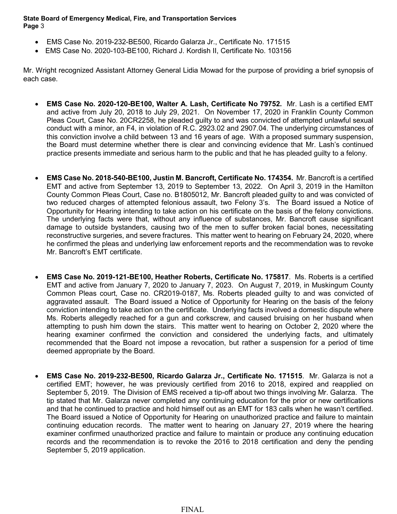- EMS Case No. 2019-232-BE500, Ricardo Galarza Jr., Certificate No. 171515
- EMS Case No. 2020-103-BE100, Richard J. Kordish II, Certificate No. 103156

Mr. Wright recognized Assistant Attorney General Lidia Mowad for the purpose of providing a brief synopsis of each case.

- **EMS Case No. 2020-120-BE100, Walter A. Lash, Certificate No 79752.** Mr. Lash is a certified EMT and active from July 20, 2018 to July 29, 2021. On November 17, 2020 in Franklin County Common Pleas Court, Case No. 20CR2258, he pleaded guilty to and was convicted of attempted unlawful sexual conduct with a minor, an F4, in violation of R.C. 2923.02 and 2907.04. The underlying circumstances of this conviction involve a child between 13 and 16 years of age. With a proposed summary suspension, the Board must determine whether there is clear and convincing evidence that Mr. Lash's continued practice presents immediate and serious harm to the public and that he has pleaded guilty to a felony.
- **EMS Case No. 2018-540-BE100, Justin M. Bancroft, Certificate No. 174354.** Mr. Bancroft is a certified EMT and active from September 13, 2019 to September 13, 2022. On April 3, 2019 in the Hamilton County Common Pleas Court, Case no. B1805012, Mr. Bancroft pleaded guilty to and was convicted of two reduced charges of attempted felonious assault, two Felony 3's. The Board issued a Notice of Opportunity for Hearing intending to take action on his certificate on the basis of the felony convictions. The underlying facts were that, without any influence of substances, Mr. Bancroft cause significant damage to outside bystanders, causing two of the men to suffer broken facial bones, necessitating reconstructive surgeries, and severe fractures. This matter went to hearing on February 24, 2020, where he confirmed the pleas and underlying law enforcement reports and the recommendation was to revoke Mr. Bancroft's EMT certificate.
- **EMS Case No. 2019-121-BE100, Heather Roberts, Certificate No. 175817**. Ms. Roberts is a certified EMT and active from January 7, 2020 to January 7, 2023. On August 7, 2019, in Muskingum County Common Pleas court, Case no. CR2019-0187, Ms. Roberts pleaded guilty to and was convicted of aggravated assault. The Board issued a Notice of Opportunity for Hearing on the basis of the felony conviction intending to take action on the certificate. Underlying facts involved a domestic dispute where Ms. Roberts allegedly reached for a gun and corkscrew, and caused bruising on her husband when attempting to push him down the stairs. This matter went to hearing on October 2, 2020 where the hearing examiner confirmed the conviction and considered the underlying facts, and ultimately recommended that the Board not impose a revocation, but rather a suspension for a period of time deemed appropriate by the Board.
- **EMS Case No. 2019-232-BE500, Ricardo Galarza Jr., Certificate No. 171515**. Mr. Galarza is not a certified EMT; however, he was previously certified from 2016 to 2018, expired and reapplied on September 5, 2019. The Division of EMS received a tip-off about two things involving Mr. Galarza. The tip stated that Mr. Galarza never completed any continuing education for the prior or new certifications and that he continued to practice and hold himself out as an EMT for 183 calls when he wasn't certified. The Board issued a Notice of Opportunity for Hearing on unauthorized practice and failure to maintain continuing education records. The matter went to hearing on January 27, 2019 where the hearing examiner confirmed unauthorized practice and failure to maintain or produce any continuing education records and the recommendation is to revoke the 2016 to 2018 certification and deny the pending September 5, 2019 application.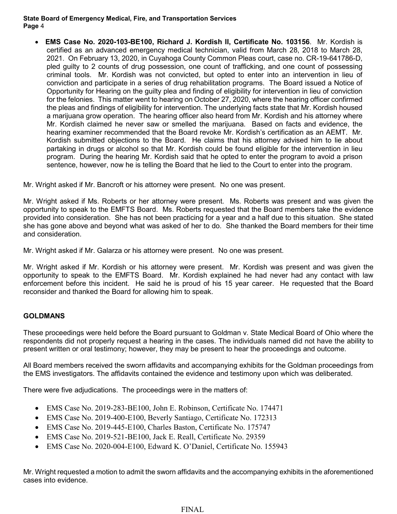• **EMS Case No. 2020-103-BE100, Richard J. Kordish II, Certificate No. 103156**. Mr. Kordish is certified as an advanced emergency medical technician, valid from March 28, 2018 to March 28, 2021. On February 13, 2020, in Cuyahoga County Common Pleas court, case no. CR-19-641786-D, pled guilty to 2 counts of drug possession, one count of trafficking, and one count of possessing criminal tools. Mr. Kordish was not convicted, but opted to enter into an intervention in lieu of conviction and participate in a series of drug rehabilitation programs. The Board issued a Notice of Opportunity for Hearing on the guilty plea and finding of eligibility for intervention in lieu of conviction for the felonies. This matter went to hearing on October 27, 2020, where the hearing officer confirmed the pleas and findings of eligibility for intervention. The underlying facts state that Mr. Kordish housed a marijuana grow operation. The hearing officer also heard from Mr. Kordish and his attorney where Mr. Kordish claimed he never saw or smelled the marijuana. Based on facts and evidence, the hearing examiner recommended that the Board revoke Mr. Kordish's certification as an AEMT. Mr. Kordish submitted objections to the Board. He claims that his attorney advised him to lie about partaking in drugs or alcohol so that Mr. Kordish could be found eligible for the intervention in lieu program. During the hearing Mr. Kordish said that he opted to enter the program to avoid a prison sentence, however, now he is telling the Board that he lied to the Court to enter into the program.

Mr. Wright asked if Mr. Bancroft or his attorney were present. No one was present.

Mr. Wright asked if Ms. Roberts or her attorney were present. Ms. Roberts was present and was given the opportunity to speak to the EMFTS Board. Ms. Roberts requested that the Board members take the evidence provided into consideration. She has not been practicing for a year and a half due to this situation. She stated she has gone above and beyond what was asked of her to do. She thanked the Board members for their time and consideration.

Mr. Wright asked if Mr. Galarza or his attorney were present. No one was present.

Mr. Wright asked if Mr. Kordish or his attorney were present. Mr. Kordish was present and was given the opportunity to speak to the EMFTS Board. Mr. Kordish explained he had never had any contact with law enforcement before this incident. He said he is proud of his 15 year career. He requested that the Board reconsider and thanked the Board for allowing him to speak.

# **GOLDMANS**

These proceedings were held before the Board pursuant to Goldman v. State Medical Board of Ohio where the respondents did not properly request a hearing in the cases. The individuals named did not have the ability to present written or oral testimony; however, they may be present to hear the proceedings and outcome.

All Board members received the sworn affidavits and accompanying exhibits for the Goldman proceedings from the EMS investigators. The affidavits contained the evidence and testimony upon which was deliberated.

There were five adjudications. The proceedings were in the matters of:

- EMS Case No. 2019-283-BE100, John E. Robinson, Certificate No. 174471
- EMS Case No. 2019-400-E100, Beverly Santiago, Certificate No. 172313
- EMS Case No. 2019-445-E100, Charles Baston, Certificate No. 175747
- EMS Case No. 2019-521-BE100, Jack E. Reall, Certificate No. 29359
- EMS Case No. 2020-004-E100, Edward K. O'Daniel, Certificate No. 155943

Mr. Wright requested a motion to admit the sworn affidavits and the accompanying exhibits in the aforementioned cases into evidence.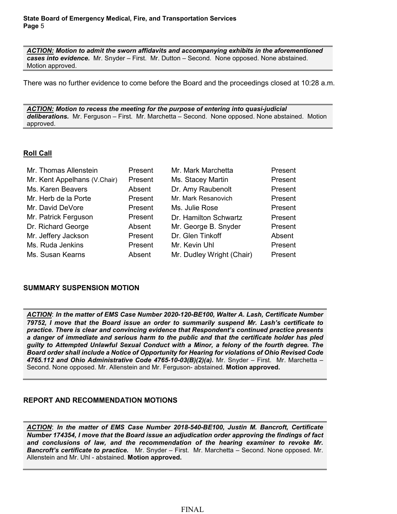*ACTION: Motion to admit the sworn affidavits and accompanying exhibits in the aforementioned cases into evidence.*Mr. Snyder – First. Mr. Dutton – Second. None opposed. None abstained. Motion approved.

There was no further evidence to come before the Board and the proceedings closed at 10:28 a.m.

*ACTION: Motion to recess the meeting for the purpose of entering into quasi-judicial deliberations.*Mr. Ferguson – First. Mr. Marchetta – Second. None opposed. None abstained. Motion approved.

# **Roll Call**

| Mr. Thomas Allenstein        | Present | Mr. Mark Marchetta        | Present |
|------------------------------|---------|---------------------------|---------|
| Mr. Kent Appelhans (V.Chair) | Present | Ms. Stacey Martin         | Present |
| Ms. Karen Beavers            | Absent  | Dr. Amy Raubenolt         | Present |
| Mr. Herb de la Porte         | Present | Mr. Mark Resanovich       | Present |
| Mr. David DeVore             | Present | Ms. Julie Rose            | Present |
| Mr. Patrick Ferguson         | Present | Dr. Hamilton Schwartz     | Present |
| Dr. Richard George           | Absent  | Mr. George B. Snyder      | Present |
| Mr. Jeffery Jackson          | Present | Dr. Glen Tinkoff          | Absent  |
| Ms. Ruda Jenkins             | Present | Mr. Kevin Uhl             | Present |
| Ms. Susan Kearns             | Absent  | Mr. Dudley Wright (Chair) | Present |

## **SUMMARY SUSPENSION MOTION**

*ACTION*: *In the matter of EMS Case Number 2020-120-BE100, Walter A. Lash, Certificate Number 79752, I move that the Board issue an order to summarily suspend Mr. Lash's certificate to practice. There is clear and convincing evidence that Respondent's continued practice presents a danger of immediate and serious harm to the public and that the certificate holder has pled guilty to Attempted Unlawful Sexual Conduct with a Minor, a felony of the fourth degree. The Board order shall include a Notice of Opportunity for Hearing for violations of Ohio Revised Code 4765.112 and Ohio Administrative Code 4765-10-03(B)(2)(a).* Mr. Snyder – First. Mr. Marchetta – Second. None opposed. Mr. Allenstein and Mr. Ferguson- abstained. **Motion approved.**

## **REPORT AND RECOMMENDATION MOTIONS**

*ACTION*: *In the matter of EMS Case Number 2018-540-BE100, Justin M. Bancroft, Certificate Number 174354, I move that the Board issue an adjudication order approving the findings of fact and conclusions of law, and the recommendation of the hearing examiner to revoke Mr. Bancroft's certificate to practice.* Mr. Snyder – First. Mr. Marchetta – Second. None opposed. Mr. Allenstein and Mr. Uhl - abstained. **Motion approved.**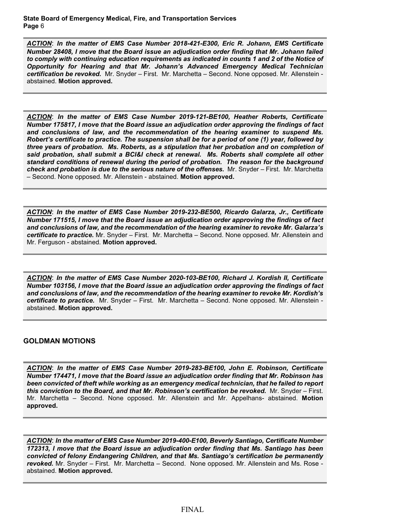*ACTION*: *In the matter of EMS Case Number 2018-421-E300, Eric R. Johann, EMS Certificate Number 28408, I move that the Board issue an adjudication order finding that Mr. Johann failed to comply with continuing education requirements as indicated in counts 1 and 2 of the Notice of Opportunity for Hearing and that Mr. Johann's Advanced Emergency Medical Technician certification be revoked.* Mr. Snyder – First. Mr. Marchetta – Second. None opposed. Mr. Allenstein abstained. **Motion approved.**

*ACTION*: *In the matter of EMS Case Number 2019-121-BE100, Heather Roberts, Certificate Number 175817, I move that the Board issue an adjudication order approving the findings of fact and conclusions of law, and the recommendation of the hearing examiner to suspend Ms. Robert's certificate to practice. The suspension shall be for a period of one (1) year, followed by three years of probation. Ms. Roberts, as a stipulation that her probation and on completion of said probation, shall submit a BCI&I check at renewal. Ms. Roberts shall complete all other standard conditions of renewal during the period of probation. The reason for the background check and probation is due to the serious nature of the offenses.* Mr. Snyder – First. Mr. Marchetta – Second. None opposed. Mr. Allenstein - abstained. **Motion approved.**

*ACTION*: *In the matter of EMS Case Number 2019-232-BE500, Ricardo Galarza, Jr., Certificate Number 171515, I move that the Board issue an adjudication order approving the findings of fact and conclusions of law, and the recommendation of the hearing examiner to revoke Mr. Galarza's certificate to practice.* Mr. Snyder – First. Mr. Marchetta – Second. None opposed. Mr. Allenstein and Mr. Ferguson - abstained. **Motion approved.**

*ACTION*: *In the matter of EMS Case Number 2020-103-BE100, Richard J. Kordish II, Certificate Number 103156, I move that the Board issue an adjudication order approving the findings of fact and conclusions of law, and the recommendation of the hearing examiner to revoke Mr. Kordish's certificate to practice.* Mr. Snyder – First. Mr. Marchetta – Second. None opposed. Mr. Allenstein abstained. **Motion approved.**

## **GOLDMAN MOTIONS**

*ACTION*: *In the matter of EMS Case Number 2019-283-BE100, John E. Robinson, Certificate Number 174471, I move that the Board issue an adjudication order finding that Mr. Robinson has been convicted of theft while working as an emergency medical technician, that he failed to report this conviction to the Board, and that Mr. Robinson's certification be revoked.* Mr. Snyder – First. Mr. Marchetta – Second. None opposed. Mr. Allenstein and Mr. Appelhans- abstained. **Motion approved.**

*ACTION*: *In the matter of EMS Case Number 2019-400-E100, Beverly Santiago, Certificate Number 172313, I move that the Board issue an adjudication order finding that Ms. Santiago has been convicted of felony Endangering Children, and that Ms. Santiago's certification be permanently revoked.* Mr. Snyder – First. Mr. Marchetta – Second. None opposed. Mr. Allenstein and Ms. Rose abstained. **Motion approved.**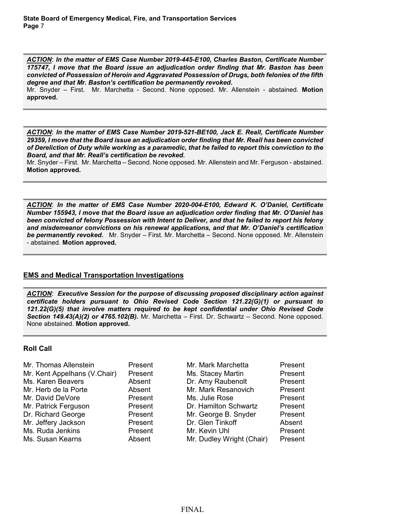*ACTION*: *In the matter of EMS Case Number 2019-445-E100, Charles Baston, Certificate Number 175747, I move that the Board issue an adjudication order finding that Mr. Baston has been convicted of Possession of Heroin and Aggravated Possession of Drugs, both felonies of the fifth degree and that Mr. Baston's certification be permanently revoked.* 

Mr. Snyder – First. Mr. Marchetta - Second. None opposed. Mr. Allenstein - abstained. **Motion approved.**

*ACTION*: *In the matter of EMS Case Number 2019-521-BE100, Jack E. Reall, Certificate Number 29359, I move that the Board issue an adjudication order finding that Mr. Reall has been convicted of Dereliction of Duty while working as a paramedic, that he failed to report this conviction to the Board, and that Mr. Reall's certification be revoked.* 

Mr. Snyder – First. Mr. Marchetta – Second. None opposed. Mr. Allenstein and Mr. Ferguson - abstained. **Motion approved.**

*ACTION*: *In the matter of EMS Case Number 2020-004-E100, Edward K. O'Daniel, Certificate Number 155943, I move that the Board issue an adjudication order finding that Mr. O'Daniel has been convicted of felony Possession with Intent to Deliver, and that he failed to report his felony and misdemeanor convictions on his renewal applications, and that Mr. O'Daniel's certification be permanently revoked.* Mr. Snyder – First. Mr. Marchetta – Second. None opposed. Mr. Allenstein - abstained. **Motion approved.**

## **EMS and Medical Transportation Investigations**

*ACTION*: *Executive Session for the purpose of discussing proposed disciplinary action against certificate holders pursuant to Ohio Revised Code Section 121.22(G)(1) or pursuant to 121.22(G)(5) that involve matters required to be kept confidential under Ohio Revised Code Section 149.43(A)(2) or 4765.102(B).* Mr. Marchetta – First. Dr. Schwartz – Second. None opposed. None abstained. **Motion approved.**

## **Roll Call**

| Mr. Thomas Allenstein        | Present | Mr. Mark Marchetta        | Present |
|------------------------------|---------|---------------------------|---------|
| Mr. Kent Appelhans (V.Chair) | Present | Ms. Stacey Martin         | Present |
| Ms. Karen Beavers            | Absent  | Dr. Amy Raubenolt         | Present |
| Mr. Herb de la Porte         | Absent  | Mr. Mark Resanovich       | Present |
| Mr. David DeVore             | Present | Ms. Julie Rose            | Present |
| Mr. Patrick Ferguson         | Present | Dr. Hamilton Schwartz     | Present |
| Dr. Richard George           | Present | Mr. George B. Snyder      | Present |
| Mr. Jeffery Jackson          | Present | Dr. Glen Tinkoff          | Absent  |
| Ms. Ruda Jenkins             | Present | Mr. Kevin Uhl             | Present |
| Ms. Susan Kearns             | Absent  | Mr. Dudley Wright (Chair) | Present |
|                              |         |                           |         |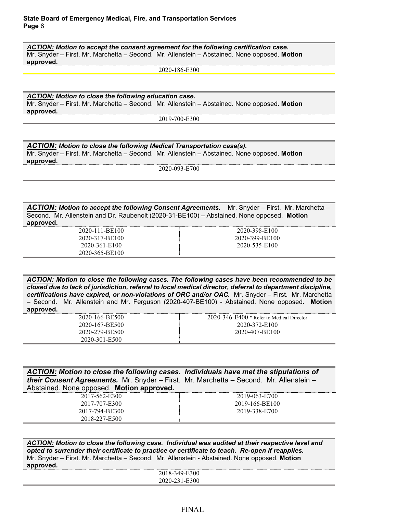*ACTION: Motion to accept the consent agreement for the following certification case.*  Mr. Snyder – First. Mr. Marchetta – Second. Mr. Allenstein – Abstained. None opposed. **Motion approved.**

2020-186-E300

*ACTION: Motion to close the following education case.*  Mr. Snyder – First. Mr. Marchetta – Second. Mr. Allenstein – Abstained. None opposed. **Motion approved.**

2019-700-E300

*ACTION: Motion to close the following Medical Transportation case(s).* Mr. Snyder – First. Mr. Marchetta – Second. Mr. Allenstein – Abstained. None opposed. **Motion approved.**

2020-093-E700

*ACTION: Motion to accept the following Consent Agreements.* Mr. Snyder – First. Mr. Marchetta – Second. Mr. Allenstein and Dr. Raubenolt (2020-31-BE100) – Abstained. None opposed. **Motion approved.**

| 2020-111-BE100 | 2020-398-E100  |
|----------------|----------------|
| 2020-317-BE100 | 2020-399-BE100 |
|                |                |
| 2020-361-E100  | 2020-535-E100  |
| 2020-365-BE100 |                |

*ACTION: Motion to close the following cases. The following cases have been recommended to be closed due to lack of jurisdiction, referral to local medical director, deferral to department discipline, certifications have expired, or non-violations of ORC and/or OAC.* Mr. Snyder – First. Mr. Marchetta – Second. Mr. Allenstein and Mr. Ferguson (2020-407-BE100) - Abstained. None opposed. **Motion approved.**

| 2020-166-BE500 | $2020 - 346 - E400$ * Refer to Medical Director |
|----------------|-------------------------------------------------|
| 2020-167-BE500 | 2020-372-E100                                   |
| 2020-279-BE500 | 2020-407-BE100                                  |
| 2020-301-E500  |                                                 |

*ACTION: Motion to close the following cases. Individuals have met the stipulations of their Consent Agreements.* Mr. Snyder – First. Mr. Marchetta – Second. Mr. Allenstein – Abstained. None opposed. **Motion approved.**

| 2017-562-E300  | 2019-063-E700  |
|----------------|----------------|
| 2017-707-E300  | 2019-166-BE100 |
| 2017-794-BE300 | 2019-338-E700  |
| 2018-227-E500  |                |

*ACTION: Motion to close the following case. Individual was audited at their respective level and opted to surrender their certificate to practice or certificate to teach. Re-open if reapplies.*  Mr. Snyder – First. Mr. Marchetta – Second. Mr. Allenstein - Abstained. None opposed. **Motion approved.**

| 2018-349-E300                                 |  |
|-----------------------------------------------|--|
| 2020-231-F300<br>$\sim$ $\sim$ $\sim$<br>---- |  |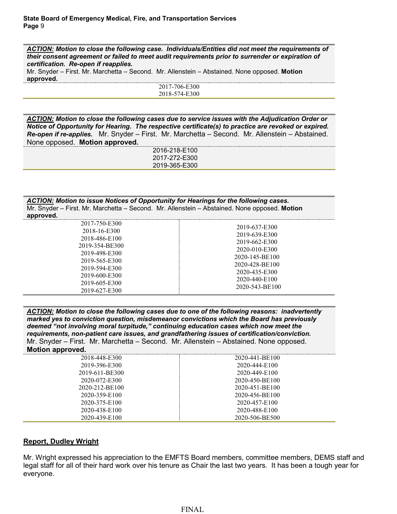*ACTION: Motion to close the following case. Individuals/Entities did not meet the requirements of their consent agreement or failed to meet audit requirements prior to surrender or expiration of certification. Re-open if reapplies.* Mr. Snyder – First. Mr. Marchetta – Second. Mr. Allenstein – Abstained. None opposed. **Motion approved.**

> 2017-706-E300 2018-574-E300

*ACTION: Motion to close the following cases due to service issues with the Adjudication Order or Notice of Opportunity for Hearing. The respective certificate(s) to practice are revoked or expired. Re-open if re-applies.* Mr. Snyder – First. Mr. Marchetta – Second. Mr. Allenstein – Abstained. None opposed. **Motion approved.**

> 2016-218-E100 2017-272-E300 2019-365-E300

*ACTION: Motion to issue Notices of Opportunity for Hearings for the following cases.* Mr. Snyder – First. Mr. Marchetta – Second. Mr. Allenstein – Abstained. None opposed. **Motion approved.**

| 2020-543-BE100<br>2019-627-E300 |
|---------------------------------|
|---------------------------------|

*ACTION: Motion to close the following cases due to one of the following reasons: inadvertently marked yes to conviction question, misdemeanor convictions which the Board has previously deemed "not involving moral turpitude," continuing education cases which now meet the requirements, non-patient care issues, and grandfathering issues of certification/conviction.*  Mr. Snyder – First. Mr. Marchetta – Second. Mr. Allenstein – Abstained. None opposed. **Motion approved.**

| . .            |                |
|----------------|----------------|
| 2018-448-E300  | 2020-441-BE100 |
| 2019-396-E300  | 2020-444-E100  |
| 2019-611-BE300 | 2020-449-E100  |
| 2020-072-E300  | 2020-450-BE100 |
| 2020-212-BE100 | 2020-451-BE100 |
| 2020-359-E100  | 2020-456-BE100 |
| 2020-375-E100  | 2020-457-E100  |
| 2020-438-E100  | 2020-488-E100  |
| 2020-439-E100  | 2020-506-BE500 |
|                |                |

# **Report, Dudley Wright**

Mr. Wright expressed his appreciation to the EMFTS Board members, committee members, DEMS staff and legal staff for all of their hard work over his tenure as Chair the last two years. It has been a tough year for everyone.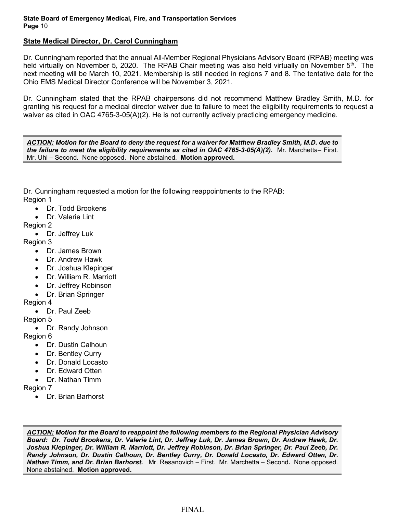# **State Medical Director, Dr. Carol Cunningham**

Dr. Cunningham reported that the annual All-Member Regional Physicians Advisory Board (RPAB) meeting was held virtually on November 5, 2020. The RPAB Chair meeting was also held virtually on November 5<sup>th</sup>. The next meeting will be March 10, 2021. Membership is still needed in regions 7 and 8. The tentative date for the Ohio EMS Medical Director Conference will be November 3, 2021.

Dr. Cunningham stated that the RPAB chairpersons did not recommend Matthew Bradley Smith, M.D. for granting his request for a medical director waiver due to failure to meet the eligibility requirements to request a waiver as cited in OAC 4765-3-05(A)(2). He is not currently actively practicing emergency medicine.

*ACTION: Motion for the Board to deny the request for a waiver for Matthew Bradley Smith, M.D. due to the failure to meet the eligibility requirements as cited in OAC 4765-3-05(A)(2).* Mr. Marchetta– First. Mr. Uhl – Second*.* None opposed. None abstained. **Motion approved.**

Dr. Cunningham requested a motion for the following reappointments to the RPAB: Region 1

- Dr. Todd Brookens
- Dr. Valerie Lint

Region 2

• Dr. Jeffrey Luk

Region 3

- Dr. James Brown
- Dr. Andrew Hawk
- Dr. Joshua Klepinger
- Dr. William R. Marriott
- Dr. Jeffrey Robinson
- Dr. Brian Springer

Region 4

• Dr. Paul Zeeb

Region 5

• Dr. Randy Johnson

Region 6

- Dr. Dustin Calhoun
- Dr. Bentley Curry
- Dr. Donald Locasto
- Dr. Fdward Otten
- Dr. Nathan Timm

Region 7

• Dr. Brian Barhorst

*ACTION: Motion for the Board to reappoint the following members to the Regional Physician Advisory Board: Dr. Todd Brookens, Dr. Valerie Lint, Dr. Jeffrey Luk, Dr. James Brown, Dr. Andrew Hawk, Dr. Joshua Klepinger, Dr. William R. Marriott, Dr. Jeffrey Robinson, Dr. Brian Springer, Dr. Paul Zeeb, Dr. Randy Johnson, Dr. Dustin Calhoun, Dr. Bentley Curry, Dr. Donald Locasto, Dr. Edward Otten, Dr. Nathan Timm, and Dr. Brian Barhorst.* Mr. Resanovich – First. Mr. Marchetta – Second*.* None opposed. None abstained. **Motion approved.**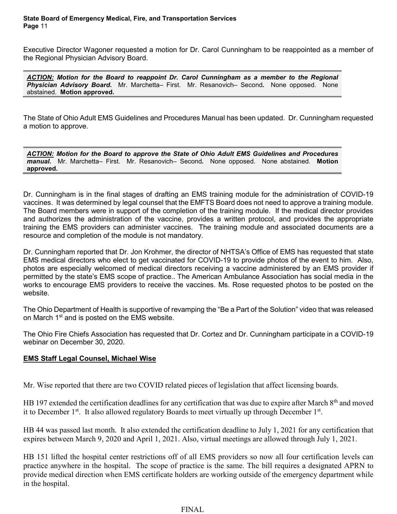Executive Director Wagoner requested a motion for Dr. Carol Cunningham to be reappointed as a member of the Regional Physician Advisory Board.

*ACTION: Motion for the Board to reappoint Dr. Carol Cunningham as a member to the Regional Physician Advisory Board.* Mr. Marchetta– First. Mr. Resanovich– Second*.* None opposed. None abstained. **Motion approved.**

The State of Ohio Adult EMS Guidelines and Procedures Manual has been updated. Dr. Cunningham requested a motion to approve.

*ACTION: Motion for the Board to approve the State of Ohio Adult EMS Guidelines and Procedures manual.* Mr. Marchetta– First. Mr. Resanovich– Second*.* None opposed. None abstained. **Motion approved.**

Dr. Cunningham is in the final stages of drafting an EMS training module for the administration of COVID-19 vaccines. It was determined by legal counsel that the EMFTS Board does not need to approve a training module. The Board members were in support of the completion of the training module. If the medical director provides and authorizes the administration of the vaccine, provides a written protocol, and provides the appropriate training the EMS providers can administer vaccines. The training module and associated documents are a resource and completion of the module is not mandatory.

Dr. Cunningham reported that Dr. Jon Krohmer, the director of NHTSA's Office of EMS has requested that state EMS medical directors who elect to get vaccinated for COVID-19 to provide photos of the event to him. Also, photos are especially welcomed of medical directors receiving a vaccine administered by an EMS provider if permitted by the state's EMS scope of practice.. The American Ambulance Association has social media in the works to encourage EMS providers to receive the vaccines. Ms. Rose requested photos to be posted on the website.

The Ohio Department of Health is supportive of revamping the "Be a Part of the Solution" video that was released on March 1<sup>st</sup> and is posted on the EMS website.

The Ohio Fire Chiefs Association has requested that Dr. Cortez and Dr. Cunningham participate in a COVID-19 webinar on December 30, 2020.

# **EMS Staff Legal Counsel, Michael Wise**

Mr. Wise reported that there are two COVID related pieces of legislation that affect licensing boards.

HB 197 extended the certification deadlines for any certification that was due to expire after March 8<sup>th</sup> and moved it to December  $1<sup>st</sup>$ . It also allowed regulatory Boards to meet virtually up through December  $1<sup>st</sup>$ .

HB 44 was passed last month. It also extended the certification deadline to July 1, 2021 for any certification that expires between March 9, 2020 and April 1, 2021. Also, virtual meetings are allowed through July 1, 2021.

HB 151 lifted the hospital center restrictions off of all EMS providers so now all four certification levels can practice anywhere in the hospital. The scope of practice is the same. The bill requires a designated APRN to provide medical direction when EMS certificate holders are working outside of the emergency department while in the hospital.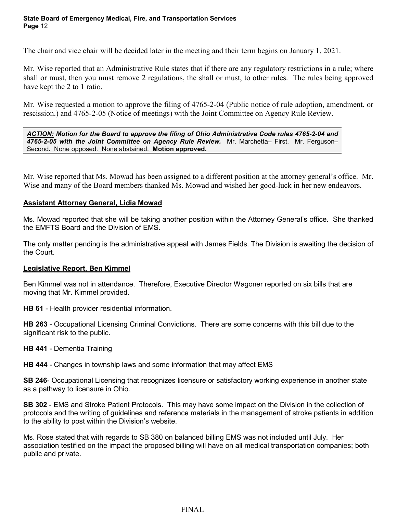The chair and vice chair will be decided later in the meeting and their term begins on January 1, 2021.

Mr. Wise reported that an Administrative Rule states that if there are any regulatory restrictions in a rule; where shall or must, then you must remove 2 regulations, the shall or must, to other rules. The rules being approved have kept the 2 to 1 ratio.

Mr. Wise requested a motion to approve the filing of 4765-2-04 (Public notice of rule adoption, amendment, or rescission.) and 4765-2-05 (Notice of meetings) with the Joint Committee on Agency Rule Review.

*ACTION: Motion for the Board to approve the filing of Ohio Administrative Code rules 4765-2-04 and*  4765-2-05 with the Joint Committee on Agency Rule Review. Mr. Marchetta– First. Mr. Ferguson– Second*.* None opposed. None abstained. **Motion approved.**

Mr. Wise reported that Ms. Mowad has been assigned to a different position at the attorney general's office. Mr. Wise and many of the Board members thanked Ms. Mowad and wished her good-luck in her new endeavors.

# **Assistant Attorney General, Lidia Mowad**

Ms. Mowad reported that she will be taking another position within the Attorney General's office. She thanked the EMFTS Board and the Division of EMS.

The only matter pending is the administrative appeal with James Fields. The Division is awaiting the decision of the Court.

# **Legislative Report, Ben Kimmel**

Ben Kimmel was not in attendance. Therefore, Executive Director Wagoner reported on six bills that are moving that Mr. Kimmel provided.

**HB 61** - Health provider residential information.

**HB 263** - Occupational Licensing Criminal Convictions. There are some concerns with this bill due to the significant risk to the public.

**HB 441** - Dementia Training

**HB 444** - Changes in township laws and some information that may affect EMS

**SB 246**- Occupational Licensing that recognizes licensure or satisfactory working experience in another state as a pathway to licensure in Ohio.

**SB 302** - EMS and Stroke Patient Protocols. This may have some impact on the Division in the collection of protocols and the writing of guidelines and reference materials in the management of stroke patients in addition to the ability to post within the Division's website.

Ms. Rose stated that with regards to SB 380 on balanced billing EMS was not included until July. Her association testified on the impact the proposed billing will have on all medical transportation companies; both public and private.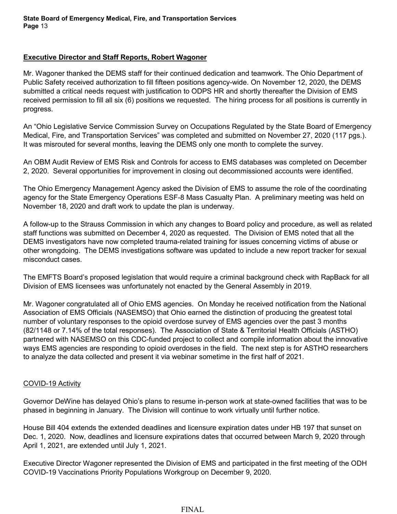# **Executive Director and Staff Reports, Robert Wagoner**

Mr. Wagoner thanked the DEMS staff for their continued dedication and teamwork. The Ohio Department of Public Safety received authorization to fill fifteen positions agency-wide. On November 12, 2020, the DEMS submitted a critical needs request with justification to ODPS HR and shortly thereafter the Division of EMS received permission to fill all six (6) positions we requested. The hiring process for all positions is currently in progress.

An "Ohio Legislative Service Commission Survey on Occupations Regulated by the State Board of Emergency Medical, Fire, and Transportation Services" was completed and submitted on November 27, 2020 (117 pgs.). It was misrouted for several months, leaving the DEMS only one month to complete the survey.

An OBM Audit Review of EMS Risk and Controls for access to EMS databases was completed on December 2, 2020. Several opportunities for improvement in closing out decommissioned accounts were identified.

The Ohio Emergency Management Agency asked the Division of EMS to assume the role of the coordinating agency for the State Emergency Operations ESF-8 Mass Casualty Plan. A preliminary meeting was held on November 18, 2020 and draft work to update the plan is underway.

A follow-up to the Strauss Commission in which any changes to Board policy and procedure, as well as related staff functions was submitted on December 4, 2020 as requested. The Division of EMS noted that all the DEMS investigators have now completed trauma-related training for issues concerning victims of abuse or other wrongdoing. The DEMS investigations software was updated to include a new report tracker for sexual misconduct cases.

The EMFTS Board's proposed legislation that would require a criminal background check with RapBack for all Division of EMS licensees was unfortunately not enacted by the General Assembly in 2019.

Mr. Wagoner congratulated all of Ohio EMS agencies. On Monday he received notification from the National Association of EMS Officials (NASEMSO) that Ohio earned the distinction of producing the greatest total number of voluntary responses to the opioid overdose survey of EMS agencies over the past 3 months (82/1148 or 7.14% of the total responses). The Association of State & Territorial Health Officials (ASTHO) partnered with NASEMSO on this CDC-funded project to collect and compile information about the innovative ways EMS agencies are responding to opioid overdoses in the field. The next step is for ASTHO researchers to analyze the data collected and present it via webinar sometime in the first half of 2021.

# COVID-19 Activity

Governor DeWine has delayed Ohio's plans to resume in-person work at state-owned facilities that was to be phased in beginning in January. The Division will continue to work virtually until further notice.

House Bill 404 extends the extended deadlines and licensure expiration dates under HB 197 that sunset on Dec. 1, 2020. Now, deadlines and licensure expirations dates that occurred between March 9, 2020 through April 1, 2021, are extended until July 1, 2021.

Executive Director Wagoner represented the Division of EMS and participated in the first meeting of the ODH COVID-19 Vaccinations Priority Populations Workgroup on December 9, 2020.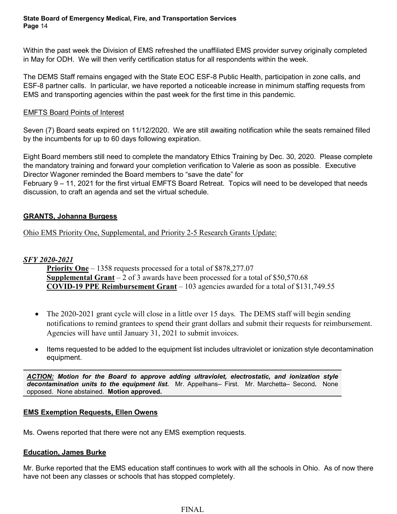Within the past week the Division of EMS refreshed the unaffiliated EMS provider survey originally completed in May for ODH. We will then verify certification status for all respondents within the week.

The DEMS Staff remains engaged with the State EOC ESF-8 Public Health, participation in zone calls, and ESF-8 partner calls. In particular, we have reported a noticeable increase in minimum staffing requests from EMS and transporting agencies within the past week for the first time in this pandemic.

# EMFTS Board Points of Interest

Seven (7) Board seats expired on 11/12/2020. We are still awaiting notification while the seats remained filled by the incumbents for up to 60 days following expiration.

Eight Board members still need to complete the mandatory Ethics Training by Dec. 30, 2020. Please complete the mandatory training and forward your completion verification to Valerie as soon as possible. Executive Director Wagoner reminded the Board members to "save the date" for

February 9 – 11, 2021 for the first virtual EMFTS Board Retreat. Topics will need to be developed that needs discussion, to craft an agenda and set the virtual schedule.

# **GRANTS, Johanna Burgess**

Ohio EMS Priority One, Supplemental, and Priority 2-5 Research Grants Update:

# *SFY 2020-2021*

**Priority One** – 1358 requests processed for a total of \$878,277.07 **Supplemental Grant** – 2 of 3 awards have been processed for a total of \$50,570.68 **COVID-19 PPE Reimbursement Grant** – 103 agencies awarded for a total of \$131,749.55

- The 2020-2021 grant cycle will close in a little over 15 days. The DEMS staff will begin sending notifications to remind grantees to spend their grant dollars and submit their requests for reimbursement. Agencies will have until January 31, 2021 to submit invoices.
- Items requested to be added to the equipment list includes ultraviolet or ionization style decontamination equipment.

*ACTION: Motion for the Board to approve adding ultraviolet, electrostatic, and ionization style decontamination units to the equipment list.* Mr. Appelhans– First. Mr. Marchetta– Second*.* None opposed. None abstained. **Motion approved.**

# **EMS Exemption Requests, Ellen Owens**

Ms. Owens reported that there were not any EMS exemption requests.

# **Education, James Burke**

Mr. Burke reported that the EMS education staff continues to work with all the schools in Ohio. As of now there have not been any classes or schools that has stopped completely.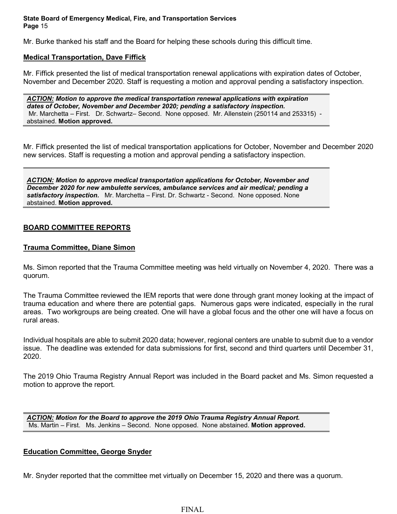Mr. Burke thanked his staff and the Board for helping these schools during this difficult time.

# **Medical Transportation, Dave Fiffick**

Mr. Fiffick presented the list of medical transportation renewal applications with expiration dates of October, November and December 2020. Staff is requesting a motion and approval pending a satisfactory inspection.

*ACTION: Motion to approve the medical transportation renewal applications with expiration dates of October, November and December 2020; pending a satisfactory inspection.* Mr. Marchetta – First. Dr. Schwartz– Second. None opposed. Mr. Allenstein (250114 and 253315) abstained. **Motion approved.**

Mr. Fiffick presented the list of medical transportation applications for October, November and December 2020 new services. Staff is requesting a motion and approval pending a satisfactory inspection.

*ACTION: Motion to approve medical transportation applications for October, November and December 2020 for new ambulette services, ambulance services and air medical; pending a satisfactory inspection.* Mr. Marchetta – First. Dr. Schwartz - Second. None opposed. None abstained. **Motion approved.**

# **BOARD COMMITTEE REPORTS**

## **Trauma Committee, Diane Simon**

Ms. Simon reported that the Trauma Committee meeting was held virtually on November 4, 2020. There was a quorum.

The Trauma Committee reviewed the IEM reports that were done through grant money looking at the impact of trauma education and where there are potential gaps. Numerous gaps were indicated, especially in the rural areas. Two workgroups are being created. One will have a global focus and the other one will have a focus on rural areas.

Individual hospitals are able to submit 2020 data; however, regional centers are unable to submit due to a vendor issue. The deadline was extended for data submissions for first, second and third quarters until December 31, 2020.

The 2019 Ohio Trauma Registry Annual Report was included in the Board packet and Ms. Simon requested a motion to approve the report.

*ACTION: Motion for the Board to approve the 2019 Ohio Trauma Registry Annual Report.*  Ms. Martin – First. Ms. Jenkins – Second. None opposed. None abstained. **Motion approved.**

# **Education Committee, George Snyder**

Mr. Snyder reported that the committee met virtually on December 15, 2020 and there was a quorum.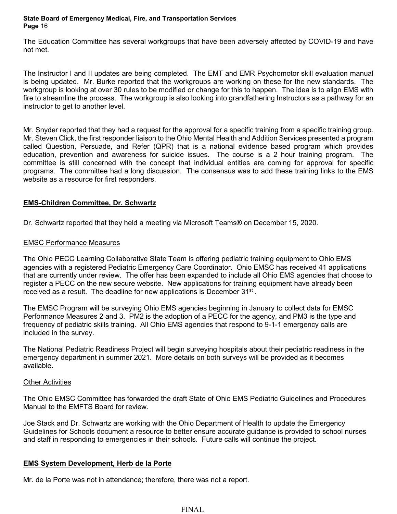The Education Committee has several workgroups that have been adversely affected by COVID-19 and have not met.

The Instructor I and II updates are being completed. The EMT and EMR Psychomotor skill evaluation manual is being updated. Mr. Burke reported that the workgroups are working on these for the new standards. The workgroup is looking at over 30 rules to be modified or change for this to happen. The idea is to align EMS with fire to streamline the process. The workgroup is also looking into grandfathering Instructors as a pathway for an instructor to get to another level.

Mr. Snyder reported that they had a request for the approval for a specific training from a specific training group. Mr. Steven Click, the first responder liaison to the Ohio Mental Health and Addition Services presented a program called Question, Persuade, and Refer (QPR) that is a national evidence based program which provides education, prevention and awareness for suicide issues. The course is a 2 hour training program. The committee is still concerned with the concept that individual entities are coming for approval for specific programs. The committee had a long discussion. The consensus was to add these training links to the EMS website as a resource for first responders.

# **EMS-Children Committee, Dr. Schwartz**

Dr. Schwartz reported that they held a meeting via Microsoft Teams® on December 15, 2020.

# EMSC Performance Measures

The Ohio PECC Learning Collaborative State Team is offering pediatric training equipment to Ohio EMS agencies with a registered Pediatric Emergency Care Coordinator. Ohio EMSC has received 41 applications that are currently under review. The offer has been expanded to include all Ohio EMS agencies that choose to register a PECC on the new secure website. New applications for training equipment have already been received as a result. The deadline for new applications is December 31<sup>st</sup>.

The EMSC Program will be surveying Ohio EMS agencies beginning in January to collect data for EMSC Performance Measures 2 and 3. PM2 is the adoption of a PECC for the agency, and PM3 is the type and frequency of pediatric skills training. All Ohio EMS agencies that respond to 9-1-1 emergency calls are included in the survey.

The National Pediatric Readiness Project will begin surveying hospitals about their pediatric readiness in the emergency department in summer 2021. More details on both surveys will be provided as it becomes available.

## **Other Activities**

The Ohio EMSC Committee has forwarded the draft State of Ohio EMS Pediatric Guidelines and Procedures Manual to the EMFTS Board for review.

Joe Stack and Dr. Schwartz are working with the Ohio Department of Health to update the Emergency Guidelines for Schools document a resource to better ensure accurate guidance is provided to school nurses and staff in responding to emergencies in their schools. Future calls will continue the project.

## **EMS System Development, Herb de la Porte**

Mr. de la Porte was not in attendance; therefore, there was not a report.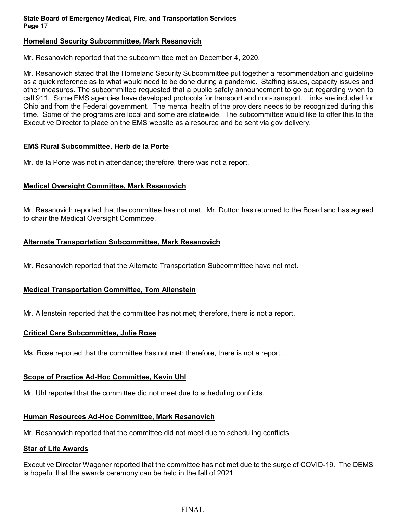# **Homeland Security Subcommittee, Mark Resanovich**

Mr. Resanovich reported that the subcommittee met on December 4, 2020.

Mr. Resanovich stated that the Homeland Security Subcommittee put together a recommendation and guideline as a quick reference as to what would need to be done during a pandemic. Staffing issues, capacity issues and other measures. The subcommittee requested that a public safety announcement to go out regarding when to call 911. Some EMS agencies have developed protocols for transport and non-transport. Links are included for Ohio and from the Federal government. The mental health of the providers needs to be recognized during this time. Some of the programs are local and some are statewide. The subcommittee would like to offer this to the Executive Director to place on the EMS website as a resource and be sent via gov delivery.

# **EMS Rural Subcommittee, Herb de la Porte**

Mr. de la Porte was not in attendance; therefore, there was not a report.

# **Medical Oversight Committee, Mark Resanovich**

Mr. Resanovich reported that the committee has not met. Mr. Dutton has returned to the Board and has agreed to chair the Medical Oversight Committee.

# **Alternate Transportation Subcommittee, Mark Resanovich**

Mr. Resanovich reported that the Alternate Transportation Subcommittee have not met.

# **Medical Transportation Committee, Tom Allenstein**

Mr. Allenstein reported that the committee has not met; therefore, there is not a report.

## **Critical Care Subcommittee, Julie Rose**

Ms. Rose reported that the committee has not met; therefore, there is not a report.

# **Scope of Practice Ad-Hoc Committee, Kevin Uhl**

Mr. Uhl reported that the committee did not meet due to scheduling conflicts.

# **Human Resources Ad-Hoc Committee, Mark Resanovich**

Mr. Resanovich reported that the committee did not meet due to scheduling conflicts.

## **Star of Life Awards**

Executive Director Wagoner reported that the committee has not met due to the surge of COVID-19. The DEMS is hopeful that the awards ceremony can be held in the fall of 2021.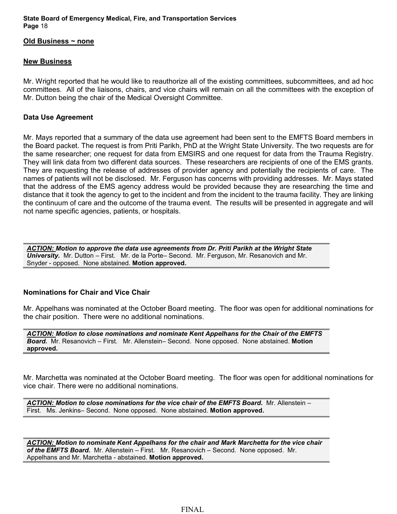#### **Old Business ~ none**

### **New Business**

Mr. Wright reported that he would like to reauthorize all of the existing committees, subcommittees, and ad hoc committees. All of the liaisons, chairs, and vice chairs will remain on all the committees with the exception of Mr. Dutton being the chair of the Medical Oversight Committee.

# **Data Use Agreement**

Mr. Mays reported that a summary of the data use agreement had been sent to the EMFTS Board members in the Board packet. The request is from Priti Parikh, PhD at the Wright State University. The two requests are for the same researcher; one request for data from EMSIRS and one request for data from the Trauma Registry. They will link data from two different data sources. These researchers are recipients of one of the EMS grants. They are requesting the release of addresses of provider agency and potentially the recipients of care. The names of patients will not be disclosed. Mr. Ferguson has concerns with providing addresses. Mr. Mays stated that the address of the EMS agency address would be provided because they are researching the time and distance that it took the agency to get to the incident and from the incident to the trauma facility. They are linking the continuum of care and the outcome of the trauma event. The results will be presented in aggregate and will not name specific agencies, patients, or hospitals.

*ACTION: Motion to approve the data use agreements from Dr. Priti Parikh at the Wright State University.* Mr. Dutton – First. Mr. de la Porte– Second. Mr. Ferguson, Mr. Resanovich and Mr. Snyder - opposed. None abstained. **Motion approved.**

# **Nominations for Chair and Vice Chair**

Mr. Appelhans was nominated at the October Board meeting. The floor was open for additional nominations for the chair position. There were no additional nominations.

*ACTION: Motion to close nominations and nominate Kent Appelhans for the Chair of the EMFTS Board.* Mr. Resanovich – First. Mr. Allenstein– Second. None opposed. None abstained. **Motion approved.**

Mr. Marchetta was nominated at the October Board meeting. The floor was open for additional nominations for vice chair. There were no additional nominations.

ACTION: Motion to close nominations for the vice chair of the EMFTS Board. Mr. Allenstein -First. Ms. Jenkins– Second. None opposed. None abstained. **Motion approved.**

*ACTION: Motion to nominate Kent Appelhans for the chair and Mark Marchetta for the vice chair of the EMFTS Board.* Mr. Allenstein – First. Mr. Resanovich – Second. None opposed. Mr. Appelhans and Mr. Marchetta - abstained. **Motion approved.**